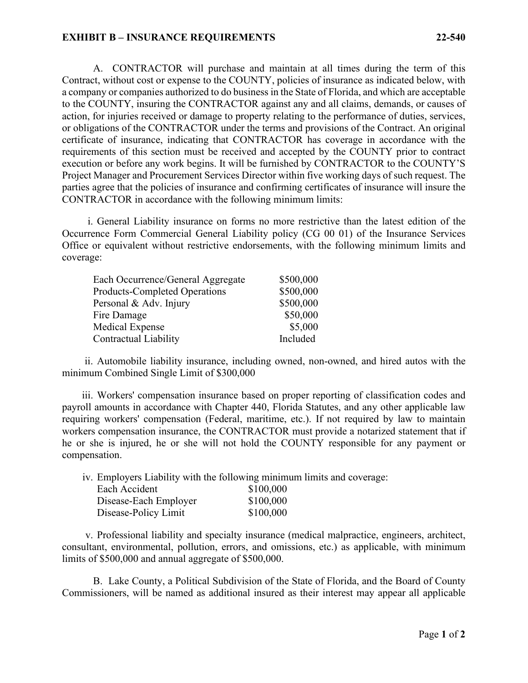## **EXHIBIT B – INSURANCE REQUIREMENTS 22-540**

A. CONTRACTOR will purchase and maintain at all times during the term of this Contract, without cost or expense to the COUNTY, policies of insurance as indicated below, with a company or companies authorized to do business in the State of Florida, and which are acceptable to the COUNTY, insuring the CONTRACTOR against any and all claims, demands, or causes of action, for injuries received or damage to property relating to the performance of duties, services, or obligations of the CONTRACTOR under the terms and provisions of the Contract. An original certificate of insurance, indicating that CONTRACTOR has coverage in accordance with the requirements of this section must be received and accepted by the COUNTY prior to contract execution or before any work begins. It will be furnished by CONTRACTOR to the COUNTY'S Project Manager and Procurement Services Director within five working days of such request. The parties agree that the policies of insurance and confirming certificates of insurance will insure the CONTRACTOR in accordance with the following minimum limits:

i. General Liability insurance on forms no more restrictive than the latest edition of the Occurrence Form Commercial General Liability policy (CG 00 01) of the Insurance Services Office or equivalent without restrictive endorsements, with the following minimum limits and coverage:

| Each Occurrence/General Aggregate    | \$500,000 |
|--------------------------------------|-----------|
| <b>Products-Completed Operations</b> | \$500,000 |
| Personal & Adv. Injury               | \$500,000 |
| Fire Damage                          | \$50,000  |
| Medical Expense                      | \$5,000   |
| Contractual Liability                | Included  |

ii. Automobile liability insurance, including owned, non-owned, and hired autos with the minimum Combined Single Limit of \$300,000

iii. Workers' compensation insurance based on proper reporting of classification codes and payroll amounts in accordance with Chapter 440, Florida Statutes, and any other applicable law requiring workers' compensation (Federal, maritime, etc.). If not required by law to maintain workers compensation insurance, the CONTRACTOR must provide a notarized statement that if he or she is injured, he or she will not hold the COUNTY responsible for any payment or compensation.

iv. Employers Liability with the following minimum limits and coverage:

| Each Accident         | \$100,000 |
|-----------------------|-----------|
| Disease-Each Employer | \$100,000 |
| Disease-Policy Limit  | \$100,000 |

v. Professional liability and specialty insurance (medical malpractice, engineers, architect, consultant, environmental, pollution, errors, and omissions, etc.) as applicable, with minimum limits of \$500,000 and annual aggregate of \$500,000.

B. Lake County, a Political Subdivision of the State of Florida, and the Board of County Commissioners, will be named as additional insured as their interest may appear all applicable